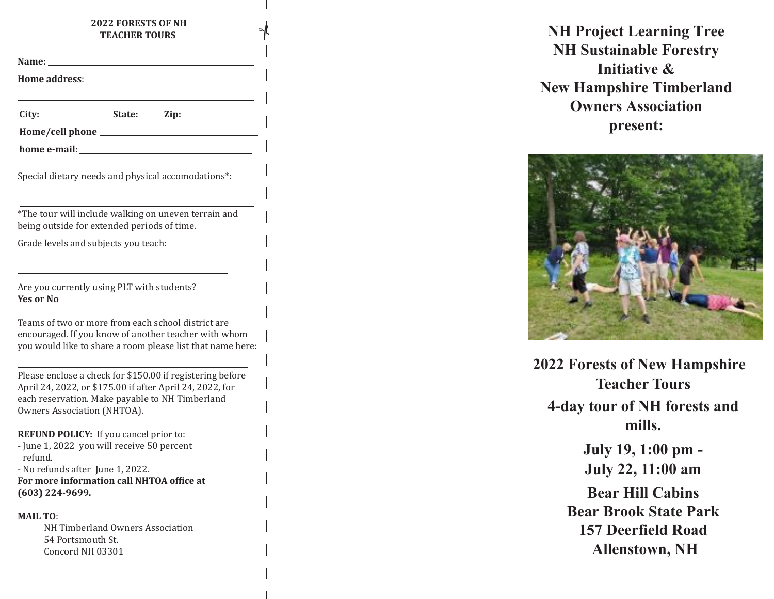#### **202 2 FORESTS OF NH TEACHER TOURS**

Y

| <b>Name:</b>         |  |
|----------------------|--|
| <b>Home address:</b> |  |

**City: State: Zip:**

| Home/cell phone |  |
|-----------------|--|
|                 |  |

| home e-mail: |  |
|--------------|--|
|              |  |

Special dietary needs and physical accomodations\*:

\*The tour will include walking on uneven terrain and being outside for extended periods of time.

Grade levels and subjects you teach:

Are you currently using PLT with students? **Yes or No**

Teams of two or more from each school district are encouraged. If you know of another teacher with whom you would like to share a room please list that name here:

Please enclose a check for \$1 50.00 if registering before April 24, 202 2, or \$175.00 if after April 24, 202 2, for each reservation. Make payable to NH Timberland Owners Association (NHTOA).

**REFUND POLICY:** If you cancel prior to: - June 1, 2022 you will receive 50 percent refund.

- No refunds after June 1, 202 2. **For more information call NHTOA office at (603) 224-9699.**

#### **MAIL TO**:

NH Timberland Owners Association 54 Portsmouth St. Concord NH 03301

**NH Project Learning Tree NH Sustainable Forestry Initiative & New Hampshire Timberland Owners Association present:**



**<sup>20</sup>22 Forests of New Hampshire Teacher Tours 4-day tour of NH forests and mills.**

> **July 19, 1:00 pm - July 2 2, 11:00 am**

**Bear Hill Cabins Bear Brook State Park 157 Deerfield Road Allenstown, NH**